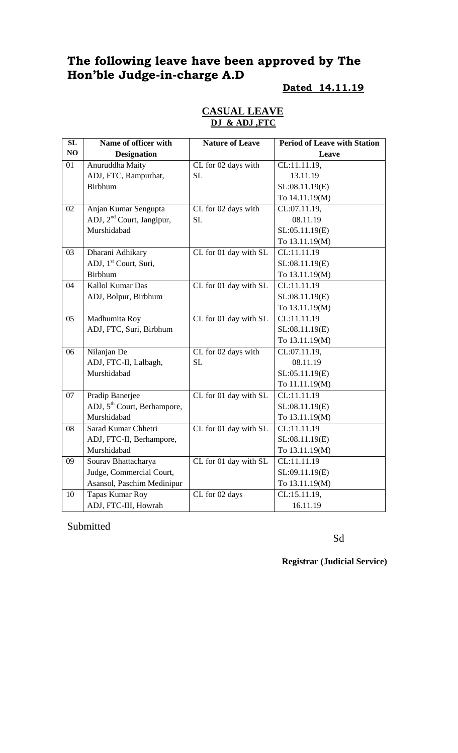# **The following leave have been approved by The Hon'ble Judge-in-charge A.D**

#### **Dated 14.11.19**

| SL | Name of officer with                    | <b>Nature of Leave</b> | <b>Period of Leave with Station</b> |
|----|-----------------------------------------|------------------------|-------------------------------------|
| NO | <b>Designation</b>                      |                        | Leave                               |
| 01 | Anuruddha Maity                         | CL for 02 days with    | CL:11.11.19,                        |
|    | ADJ, FTC, Rampurhat,                    | SL                     | 13.11.19                            |
|    | <b>Birbhum</b>                          |                        | SL:08.11.19(E)                      |
|    |                                         |                        | To 14.11.19(M)                      |
| 02 | Anjan Kumar Sengupta                    | CL for 02 days with    | CL:07.11.19,                        |
|    | ADJ, 2 <sup>nd</sup> Court, Jangipur,   | <b>SL</b>              | 08.11.19                            |
|    | Murshidabad                             |                        | SL:05.11.19(E)                      |
|    |                                         |                        | To 13.11.19(M)                      |
| 03 | Dharani Adhikary                        | CL for 01 day with SL  | CL:11.11.19                         |
|    | ADJ, 1 <sup>st</sup> Court, Suri,       |                        | SL:08.11.19(E)                      |
|    | <b>Birbhum</b>                          |                        | To 13.11.19(M)                      |
| 04 | Kallol Kumar Das                        | CL for 01 day with SL  | CL:11.11.19                         |
|    | ADJ, Bolpur, Birbhum                    |                        | SL:08.11.19(E)                      |
|    |                                         |                        | To 13.11.19(M)                      |
| 05 | Madhumita Roy                           | CL for 01 day with SL  | CL:11.11.19                         |
|    | ADJ, FTC, Suri, Birbhum                 |                        | SL:08.11.19(E)                      |
|    |                                         |                        | To 13.11.19(M)                      |
| 06 | Nilanjan De                             | CL for 02 days with    | CL:07.11.19,                        |
|    | ADJ, FTC-II, Lalbagh,                   | SL                     | 08.11.19                            |
|    | Murshidabad                             |                        | SL:05.11.19(E)                      |
|    |                                         |                        | To 11.11.19(M)                      |
| 07 | Pradip Banerjee                         | CL for 01 day with SL  | CL:11.11.19                         |
|    | ADJ, 5 <sup>th</sup> Court, Berhampore, |                        | SL:08.11.19(E)                      |
|    | Murshidabad                             |                        | To 13.11.19(M)                      |
| 08 | Sarad Kumar Chhetri                     | CL for 01 day with SL  | CL:11.11.19                         |
|    | ADJ, FTC-II, Berhampore,                |                        | SL:08.11.19(E)                      |
|    | Murshidabad                             |                        | To 13.11.19(M)                      |
| 09 | Sourav Bhattacharya                     | CL for 01 day with SL  | CL:11.11.19                         |
|    | Judge, Commercial Court,                |                        | SL:09.11.19(E)                      |
|    | Asansol, Paschim Medinipur              |                        | To 13.11.19(M)                      |
| 10 | <b>Tapas Kumar Roy</b>                  | CL for 02 days         | CL:15.11.19,                        |
|    | ADJ, FTC-III, Howrah                    |                        | 16.11.19                            |

### **CASUAL LEAVE DJ & ADJ ,FTC**

Submitted

Sd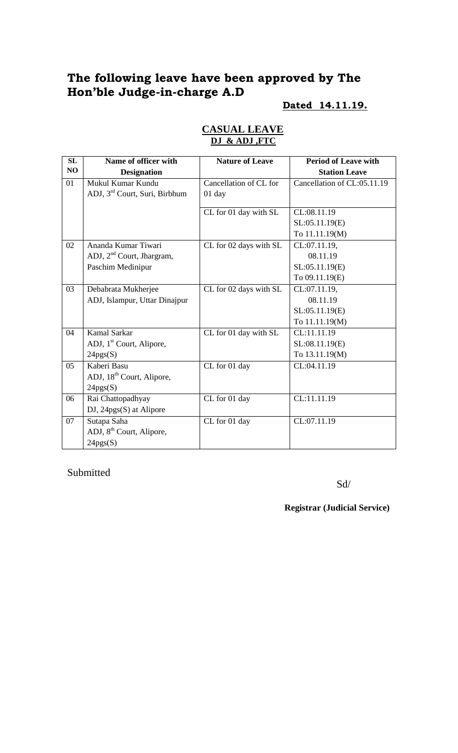# **The following leave have been approved by The Hon'ble Judge-in-charge A.D**

## **Dated 14.11.19.**

| SL | Name of officer with                      | <b>Nature of Leave</b> | <b>Period of Leave with</b> |
|----|-------------------------------------------|------------------------|-----------------------------|
| NO | <b>Designation</b>                        |                        | <b>Station Leave</b>        |
| 01 | Mukul Kumar Kundu                         | Cancellation of CL for | Cancellation of CL:05.11.19 |
|    | ADJ, 3 <sup>rd</sup> Court, Suri, Birbhum | 01 day                 |                             |
|    |                                           | CL for 01 day with SL  | CL:08.11.19                 |
|    |                                           |                        | SL:05.11.19(E)              |
|    |                                           |                        | To 11.11.19(M)              |
| 02 | Ananda Kumar Tiwari                       |                        |                             |
|    |                                           | CL for 02 days with SL | CL:07.11.19,<br>08.11.19    |
|    | ADJ, $2nd$ Court, Jhargram,               |                        |                             |
|    | Paschim Medinipur                         |                        | SL:05.11.19(E)              |
|    |                                           |                        | To 09.11.19(E)              |
| 03 | Debabrata Mukherjee                       | CL for 02 days with SL | CL:07.11.19,                |
|    | ADJ, Islampur, Uttar Dinajpur             |                        | 08.11.19                    |
|    |                                           |                        | SL:05.11.19(E)              |
|    |                                           |                        | To 11.11.19(M)              |
| 04 | <b>Kamal Sarkar</b>                       | CL for 01 day with SL  | CL:11.11.19                 |
|    | ADJ, 1 <sup>st</sup> Court, Alipore,      |                        | SL:08.11.19(E)              |
|    | 24pgs(S)                                  |                        | To 13.11.19(M)              |
| 05 | Kaberi Basu                               | CL for 01 day          | CL:04.11.19                 |
|    | ADJ, 18 <sup>th</sup> Court, Alipore,     |                        |                             |
|    | 24pgs(S)                                  |                        |                             |
| 06 | Rai Chattopadhyay                         | CL for 01 day          | CL:11.11.19                 |
|    | DJ, 24pgs(S) at Alipore                   |                        |                             |
| 07 | Sutapa Saha                               | CL for 01 day          | CL:07.11.19                 |
|    | ADJ, 8 <sup>th</sup> Court, Alipore,      |                        |                             |
|    | 24pgs(S)                                  |                        |                             |

#### **CASUAL LEAVE DJ & ADJ ,FTC**

Submitted

Sd/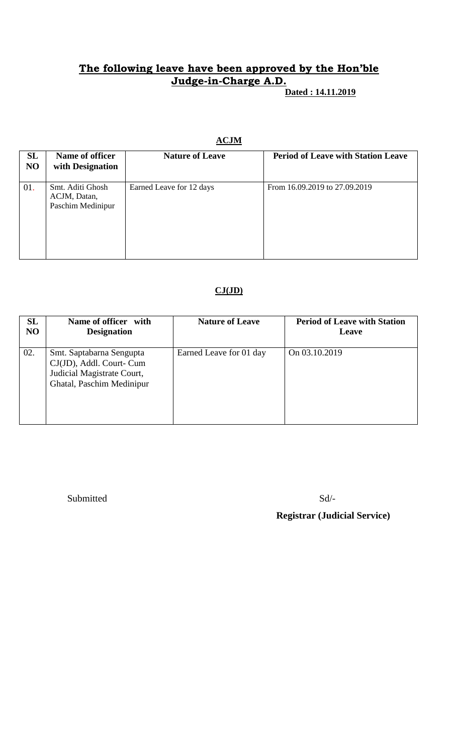# **The following leave have been approved by the Hon'ble Judge-in-Charge A.D.**

 **Dated : 14.11.2019**

#### **ACJM**

| <b>SL</b><br>NO | Name of officer<br>with Designation                   | <b>Nature of Leave</b>   | <b>Period of Leave with Station Leave</b> |
|-----------------|-------------------------------------------------------|--------------------------|-------------------------------------------|
| 01.             | Smt. Aditi Ghosh<br>ACJM, Datan,<br>Paschim Medinipur | Earned Leave for 12 days | From 16.09.2019 to 27.09.2019             |

#### **CJ(JD)**

| SL             | Name of officer with                                                                                            | <b>Nature of Leave</b>  | <b>Period of Leave with Station</b> |
|----------------|-----------------------------------------------------------------------------------------------------------------|-------------------------|-------------------------------------|
| N <sub>O</sub> | <b>Designation</b>                                                                                              |                         | Leave                               |
| 02.            | Smt. Saptabarna Sengupta<br>CJ(JD), Addl. Court- Cum<br>Judicial Magistrate Court,<br>Ghatal, Paschim Medinipur | Earned Leave for 01 day | On 03.10.2019                       |

Submitted Sd/-